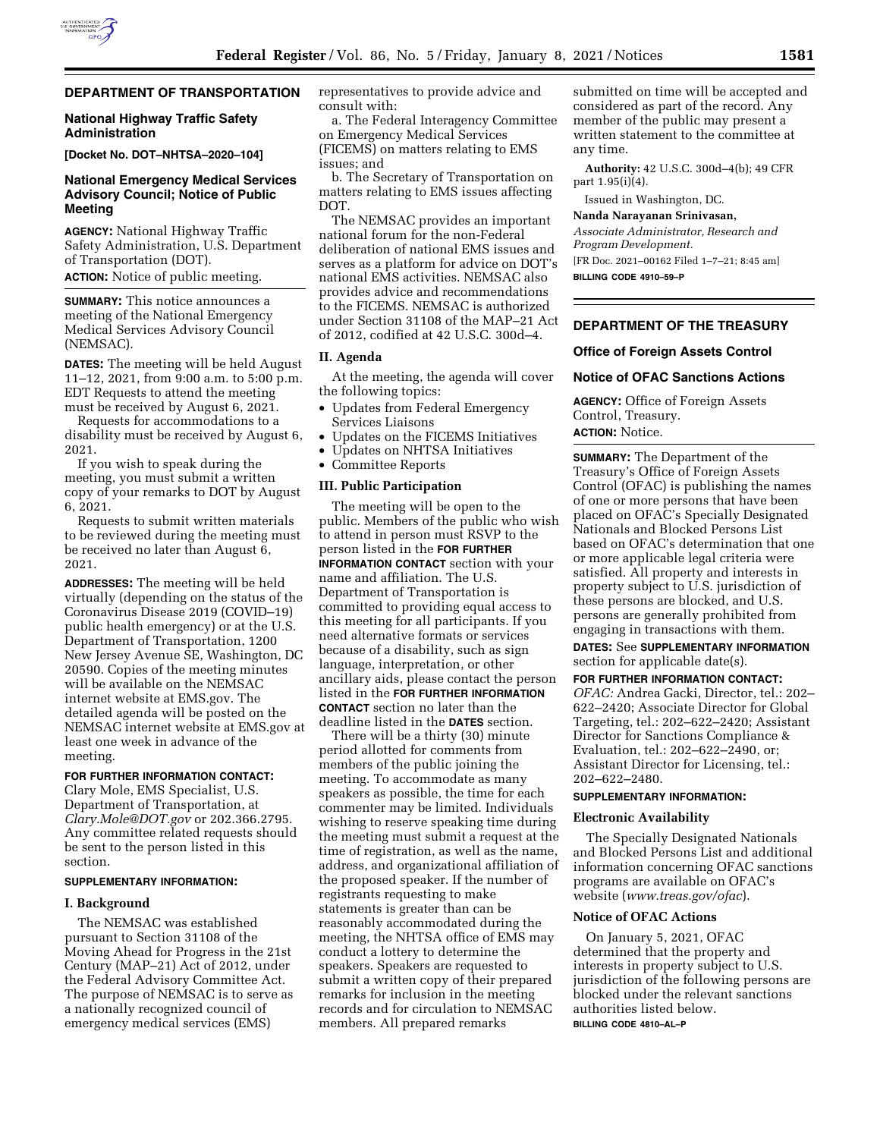# **DEPARTMENT OF TRANSPORTATION**

## **National Highway Traffic Safety Administration**

**[Docket No. DOT–NHTSA–2020–104]** 

## **National Emergency Medical Services Advisory Council; Notice of Public Meeting**

**AGENCY:** National Highway Traffic Safety Administration, U.S. Department of Transportation (DOT).

**ACTION:** Notice of public meeting.

**SUMMARY:** This notice announces a meeting of the National Emergency Medical Services Advisory Council (NEMSAC).

**DATES:** The meeting will be held August 11–12, 2021, from 9:00 a.m. to 5:00 p.m. EDT Requests to attend the meeting must be received by August 6, 2021.

Requests for accommodations to a disability must be received by August 6, 2021.

If you wish to speak during the meeting, you must submit a written copy of your remarks to DOT by August 6, 2021.

Requests to submit written materials to be reviewed during the meeting must be received no later than August 6, 2021.

**ADDRESSES:** The meeting will be held virtually (depending on the status of the Coronavirus Disease 2019 (COVID–19) public health emergency) or at the U.S. Department of Transportation, 1200 New Jersey Avenue SE, Washington, DC 20590. Copies of the meeting minutes will be available on the NEMSAC internet website at EMS.gov. The detailed agenda will be posted on the NEMSAC internet website at EMS.gov at least one week in advance of the meeting.

## **FOR FURTHER INFORMATION CONTACT:**

Clary Mole, EMS Specialist, U.S. Department of Transportation, at *[Clary.Mole@DOT.gov](mailto:Clary.Mole@DOT.gov)* or 202.366.2795. Any committee related requests should be sent to the person listed in this section.

#### **SUPPLEMENTARY INFORMATION:**

## **I. Background**

The NEMSAC was established pursuant to Section 31108 of the Moving Ahead for Progress in the 21st Century (MAP–21) Act of 2012, under the Federal Advisory Committee Act. The purpose of NEMSAC is to serve as a nationally recognized council of emergency medical services (EMS)

representatives to provide advice and consult with:

a. The Federal Interagency Committee on Emergency Medical Services (FICEMS) on matters relating to EMS issues; and

b. The Secretary of Transportation on matters relating to EMS issues affecting DOT.

The NEMSAC provides an important national forum for the non-Federal deliberation of national EMS issues and serves as a platform for advice on DOT's national EMS activities. NEMSAC also provides advice and recommendations to the FICEMS. NEMSAC is authorized under Section 31108 of the MAP–21 Act of 2012, codified at 42 U.S.C. 300d–4.

# **II. Agenda**

At the meeting, the agenda will cover the following topics:

- Updates from Federal Emergency Services Liaisons
- Updates on the FICEMS Initiatives
- Updates on NHTSA Initiatives
- Committee Reports

#### **III. Public Participation**

The meeting will be open to the public. Members of the public who wish to attend in person must RSVP to the person listed in the **FOR FURTHER INFORMATION CONTACT** section with your name and affiliation. The U.S. Department of Transportation is committed to providing equal access to this meeting for all participants. If you need alternative formats or services because of a disability, such as sign language, interpretation, or other ancillary aids, please contact the person listed in the **FOR FURTHER INFORMATION CONTACT** section no later than the deadline listed in the **DATES** section.

There will be a thirty (30) minute period allotted for comments from members of the public joining the meeting. To accommodate as many speakers as possible, the time for each commenter may be limited. Individuals wishing to reserve speaking time during the meeting must submit a request at the time of registration, as well as the name, address, and organizational affiliation of the proposed speaker. If the number of registrants requesting to make statements is greater than can be reasonably accommodated during the meeting, the NHTSA office of EMS may conduct a lottery to determine the speakers. Speakers are requested to submit a written copy of their prepared remarks for inclusion in the meeting records and for circulation to NEMSAC members. All prepared remarks

submitted on time will be accepted and considered as part of the record. Any member of the public may present a written statement to the committee at any time.

**Authority:** 42 U.S.C. 300d–4(b); 49 CFR part 1.95(i)(4).

Issued in Washington, DC.

#### **Nanda Narayanan Srinivasan,**

*Associate Administrator, Research and Program Development.* 

[FR Doc. 2021–00162 Filed 1–7–21; 8:45 am] **BILLING CODE 4910–59–P** 

## **DEPARTMENT OF THE TREASURY**

#### **Office of Foreign Assets Control**

### **Notice of OFAC Sanctions Actions**

**AGENCY:** Office of Foreign Assets Control, Treasury.

# **ACTION:** Notice.

**SUMMARY:** The Department of the Treasury's Office of Foreign Assets Control (OFAC) is publishing the names of one or more persons that have been placed on OFAC's Specially Designated Nationals and Blocked Persons List based on OFAC's determination that one or more applicable legal criteria were satisfied. All property and interests in property subject to U.S. jurisdiction of these persons are blocked, and U.S. persons are generally prohibited from engaging in transactions with them.

**DATES:** See **SUPPLEMENTARY INFORMATION** section for applicable date(s).

**FOR FURTHER INFORMATION CONTACT:**  *OFAC:* Andrea Gacki, Director, tel.: 202– 622–2420; Associate Director for Global Targeting, tel.: 202–622–2420; Assistant Director for Sanctions Compliance & Evaluation, tel.: 202–622–2490, or; Assistant Director for Licensing, tel.: 202–622–2480.

## **SUPPLEMENTARY INFORMATION:**

#### **Electronic Availability**

The Specially Designated Nationals and Blocked Persons List and additional information concerning OFAC sanctions programs are available on OFAC's website (*[www.treas.gov/ofac](http://www.treas.gov/ofac)*).

## **Notice of OFAC Actions**

On January 5, 2021, OFAC determined that the property and interests in property subject to U.S. jurisdiction of the following persons are blocked under the relevant sanctions authorities listed below. **BILLING CODE 4810–AL–P**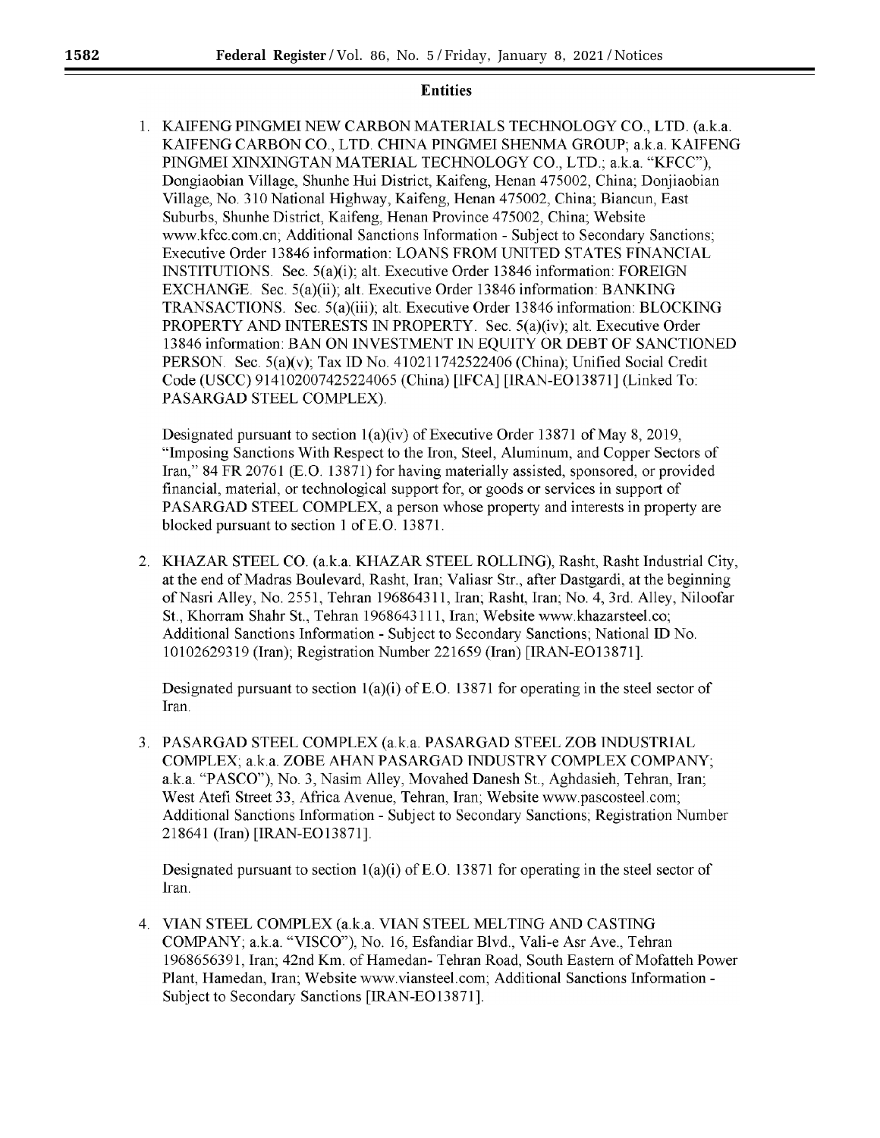# **Entities**

1. KAIFENG PINGMEI NEW CARBON MATERIALS TECHNOLOGY CO., LTD. (a.k.a. KAIFENG CARBON CO., LTD. CHINA PINGMEI SHENMA GROUP; a.k.a. KAIFENG PINGMEI XINXINGTAN MATERIAL TECHNOLOGY CO., LTD.; a.k.a. "KFCC"), Dongiaobian Village, Shunhe Hui District, Kaifeng, Henan 475002, China; Donjiaobian Village, No. 310 National Highway, Kaifeng, Henan 475002, China; Biancun, East Suburbs, Shunhe District, Kaifeng, Henan Province 475002, China; Website www.kfcc.com.cn; Additional Sanctions Information - Subject to Secondary Sanctions; Executive Order 13846 information: LOANS FROM UNITED STATES FINANCIAL **INSTITUTIONS**. Sec.  $5(a)(i)$ ; alt. Executive Order 13846 information: FOREIGN EXCHANGE. Sec.  $5(a)(ii)$ ; alt. Executive Order 13846 information: BANKING **TRANSACTIONS.** Sec. 5(a)(iii); alt. Executive Order 13846 information: BLOCKING PROPERTY AND INTERESTS IN PROPERTY. Sec. 5(a)(iv); alt. Executive Order 13846 information: BAN ON INVESTMENT IN EQUITY OR DEBT OF SANCTIONED PERSON. Sec. 5(a)(v); Tax ID No. 410211742522406 (China); Unified Social Credit Code (USCC) 914102007425224065 (China) [IFCA] [IRAN-EO13871] (Linked To: PASARGAD STEEL COMPLEX).

Designated pursuant to section  $1(a)(iv)$  of Executive Order 13871 of May 8, 2019, "Imposing Sanctions With Respect to the Iron, Steel, Aluminum, and Copper Sectors of Iran," 84 FR 20761 (E.O. 13871) for having materially assisted, sponsored, or provided financial, material, or technological support for, or goods or services in support of PASARGAD STEEL COMPLEX, a person whose property and interests in property are blocked pursuant to section 1 of E.O. 13871.

2. KHAZAR STEEL CO. (a.k.a. KHAZAR STEEL ROLLING), Rasht, Rasht Industrial City, at the end of Madras Boulevard, Rasht, Iran; Valiasr Str., after Dastgardi, at the beginning of Nasri Alley, No. 2551, Tehran 196864311, Iran; Rasht, Iran; No. 4, 3rd. Alley, Niloofar St., Khorram Shahr St., Tehran 1968643111, Iran; Website www.khazarsteel.co; Additional Sanctions Information - Subject to Secondary Sanctions, National ID No. 10102629319 (Iran); Registration Number 221659 (Iran) [IRAN-EO13871].

Designated pursuant to section  $1(a)(i)$  of E.O. 13871 for operating in the steel sector of Iran.

PASARGAD STEEL COMPLEX (a.k.a. PASARGAD STEEL ZOB INDUSTRIAL 3. COMPLEX: a.k.a. ZOBE AHAN PASARGAD INDUSTRY COMPLEX COMPANY; a.k.a. "PASCO"), No. 3, Nasim Alley, Movahed Danesh St., Aghdasieh, Tehran, Iran; West Atefi Street 33, Africa Avenue, Tehran, Iran, Website www.pascosteel.com; Additional Sanctions Information - Subject to Secondary Sanctions; Registration Number 218641 (Iran) [IRAN-EO13871].

Designated pursuant to section  $1(a)(i)$  of E.O. 13871 for operating in the steel sector of Iran.

4. VIAN STEEL COMPLEX (a.k.a. VIAN STEEL MELTING AND CASTING COMPANY; a.k.a. "VISCO"), No. 16, Esfandiar Blvd., Vali-e Asr Ave., Tehran 1968656391, Iran; 42nd Km. of Hamedan- Tehran Road, South Eastern of Mofatteh Power Plant, Hamedan, Iran; Website www.viansteel.com; Additional Sanctions Information -Subject to Secondary Sanctions [IRAN-EO13871].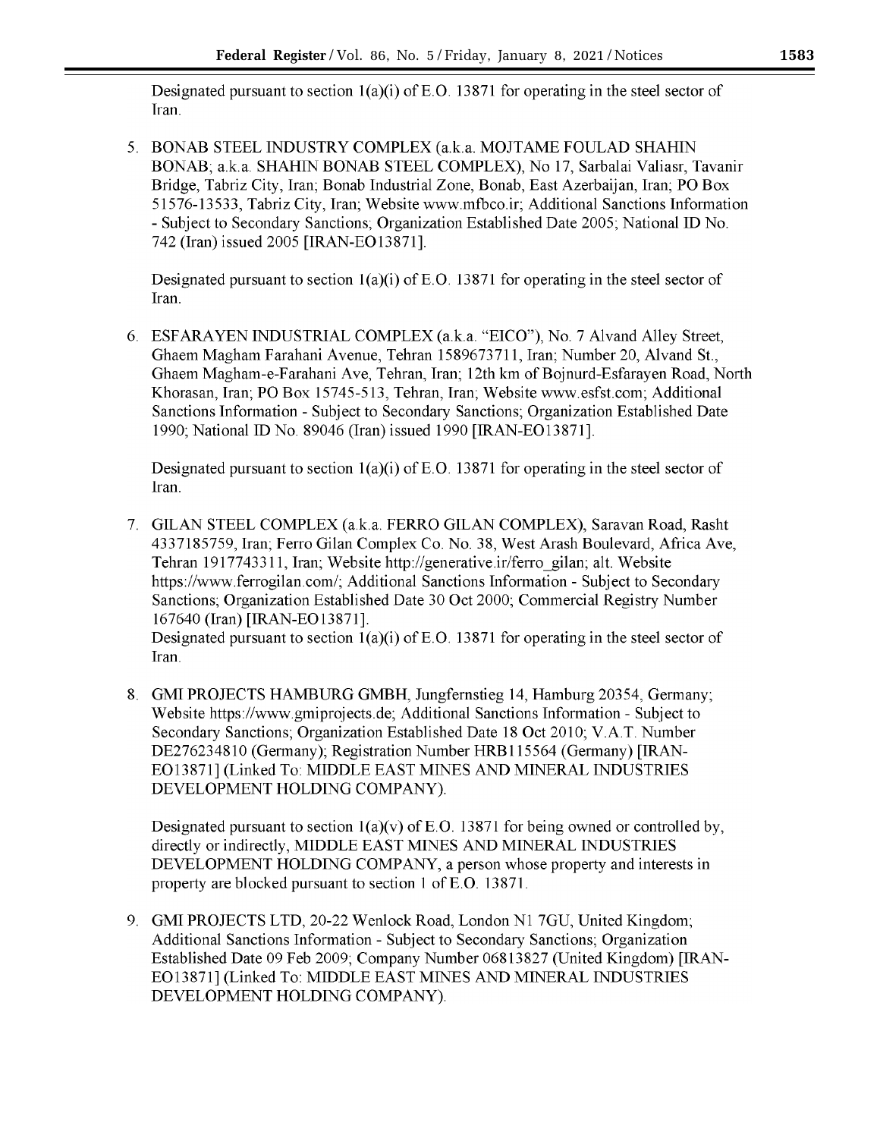Designated pursuant to section  $1(a)(i)$  of E.O. 13871 for operating in the steel sector of Iran.

5. BONAB STEEL INDUSTRY COMPLEX (a.k.a. MOJTAME FOULAD SHAHIN BONAB; a.k.a. SHAHIN BONAB STEEL COMPLEX), No 17, Sarbalai Valiasr, Tavanir Bridge, Tabriz City, Iran; Bonab Industrial Zone, Bonab, East Azerbaijan, Iran; PO Box 51576-13533, Tabriz City, Iran; Website www.mfbco.ir; Additional Sanctions Information - Subject to Secondary Sanctions: Organization Established Date 2005; National ID No. 742 (Iran) issued 2005 [IRAN-EO13871].

Designated pursuant to section  $1(a)(i)$  of E.O. 13871 for operating in the steel sector of Iran.

6. ESFARAYEN INDUSTRIAL COMPLEX (a.k.a. "EICO"), No. 7 Alvand Alley Street, Ghaem Magham Farahani Avenue, Tehran 1589673711, Iran; Number 20, Alvand St., Ghaem Magham-e-Farahani Ave, Tehran, Iran; 12th km of Boinurd-Esfarayen Road, North Khorasan, Iran; PO Box 15745-513, Tehran, Iran; Website www.esfst.com; Additional Sanctions Information - Subject to Secondary Sanctions; Organization Established Date 1990; National ID No. 89046 (Iran) issued 1990 [IRAN-EO13871].

Designated pursuant to section  $1(a)(i)$  of E.O. 13871 for operating in the steel sector of Iran.

7. GILAN STEEL COMPLEX (a.k.a. FERRO GILAN COMPLEX), Saravan Road, Rasht 4337185759, Iran; Ferro Gilan Complex Co. No. 38, West Arash Boulevard, Africa Ave, Tehran 1917743311, Iran; Website http://generative.ir/ferro gilan; alt. Website https://www.ferrogilan.com/; Additional Sanctions Information - Subject to Secondary Sanctions; Organization Established Date 30 Oct 2000; Commercial Registry Number 167640 (Iran) [IRAN-EO13871].

Designated pursuant to section  $1(a)(i)$  of E.O. 13871 for operating in the steel sector of Iran.

8. GMI PROJECTS HAMBURG GMBH, Jungfernstieg 14, Hamburg 20354, Germany; Website https://www.gmiprojects.de: Additional Sanctions Information - Subject to Secondary Sanctions, Organization Established Date 18 Oct 2010; V.A.T. Number DE276234810 (Germany); Registration Number HRB115564 (Germany) [IRAN-EO13871] (Linked To: MIDDLE EAST MINES AND MINERAL INDUSTRIES DEVELOPMENT HOLDING COMPANY).

Designated pursuant to section  $1(a)(v)$  of E.O. 13871 for being owned or controlled by, directly or indirectly, MIDDLE EAST MINES AND MINERAL INDUSTRIES DEVELOPMENT HOLDING COMPANY, a person whose property and interests in property are blocked pursuant to section 1 of E.O. 13871.

9. GMI PROJECTS LTD, 20-22 Wenlock Road, London N1 7GU, United Kingdom; Additional Sanctions Information - Subject to Secondary Sanctions; Organization Established Date 09 Feb 2009; Company Number 06813827 (United Kingdom) [IRAN-EO13871] (Linked To: MIDDLE EAST MINES AND MINERAL INDUSTRIES DEVELOPMENT HOLDING COMPANY).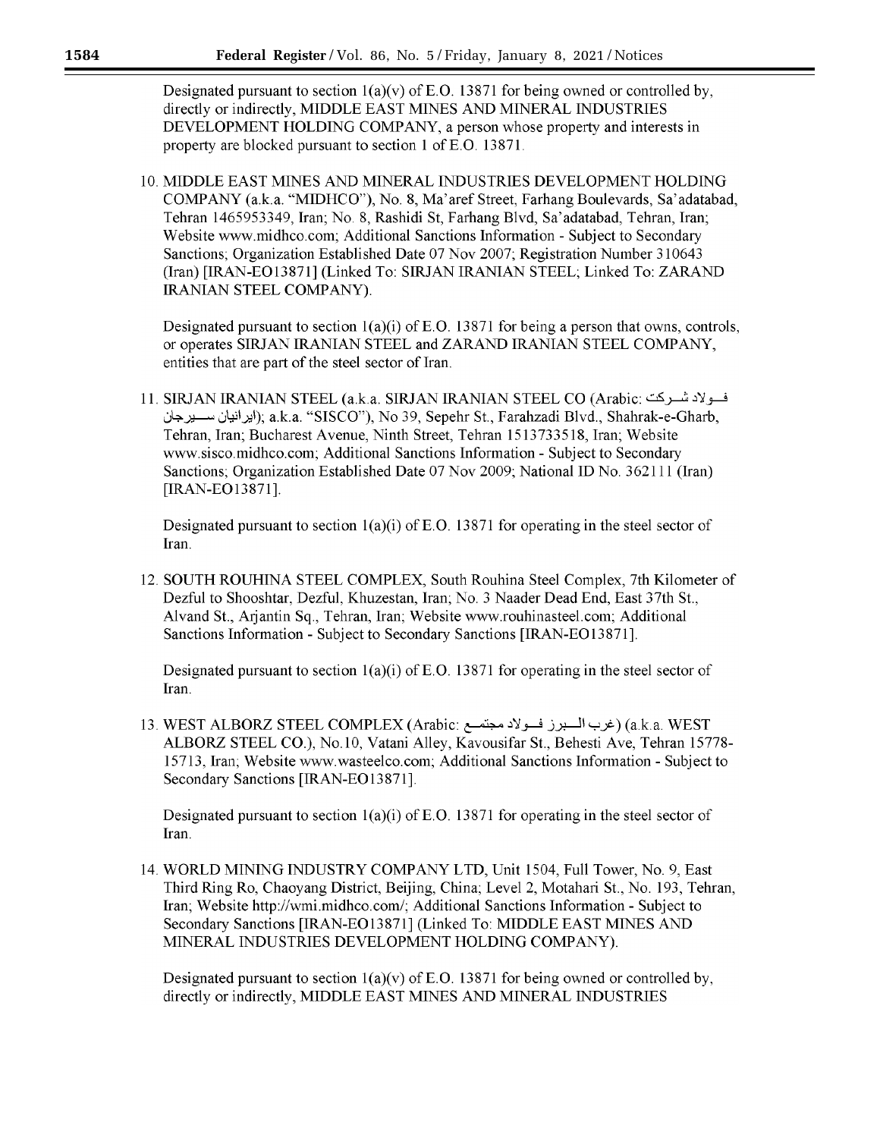Designated pursuant to section  $1(a)(y)$  of E.O. 13871 for being owned or controlled by, directly or indirectly, MIDDLE EAST MINES AND MINERAL INDUSTRIES DEVELOPMENT HOLDING COMPANY, a person whose property and interests in property are blocked pursuant to section 1 of E.O. 13871.

10. MIDDLE EAST MINES AND MINERAL INDUSTRIES DEVELOPMENT HOLDING COMPANY (a.k.a. "MIDHCO"), No. 8, Ma'aref Street, Farhang Boulevards, Sa'adatabad, Tehran 1465953349, Iran; No. 8, Rashidi St, Farhang Blvd, Sa'adatabad, Tehran, Iran; Website www.midhco.com; Additional Sanctions Information - Subject to Secondary Sanctions; Organization Established Date 07 Nov 2007; Registration Number 310643 (Iran) [IRAN-EO13871] (Linked To: SIRJAN IRANIAN STEEL; Linked To: ZARAND **IRANIAN STEEL COMPANY).** 

Designated pursuant to section  $1(a)(i)$  of E.O. 13871 for being a person that owns, controls, or operates SIRJAN IRANIAN STEEL and ZARAND IRANIAN STEEL COMPANY, entities that are part of the steel sector of Iran.

فــولادشــركت : I1. SIRJAN IRANIAN STEEL (a.k.a. SIRJAN IRANIAN STEEL CO (Arabic ايرانيان ســــيرجان); a.k.a. "SISCO"), No 39, Sepehr St., Farahzadi Blvd., Shahrak-e-Gharb, Tehran, Iran; Bucharest Avenue, Ninth Street, Tehran 1513733518, Iran; Website www.sisco.midhco.com; Additional Sanctions Information - Subject to Secondary Sanctions; Organization Established Date 07 Nov 2009; National ID No. 362111 (Iran) [IRAN-EO13871].

Designated pursuant to section  $1(a)(i)$  of E.O. 13871 for operating in the steel sector of Iran.

12. SOUTH ROUHINA STEEL COMPLEX, South Rouhina Steel Complex, 7th Kilometer of Dezful to Shooshtar, Dezful, Khuzestan, Iran; No. 3 Naader Dead End, East 37th St., Alvand St., Arjantin Sq., Tehran, Iran; Website www.rouhinasteel.com; Additional Sanctions Information - Subject to Secondary Sanctions [IRAN-EO13871].

Designated pursuant to section  $1(a)(i)$  of E.O. 13871 for operating in the steel sector of Iran.

13. WEST ALBORZ STEEL COMPLEX (Arabic: غرب السبرز فسولاد مجتمع ) (a.k.a. WEST ALBORZ STEEL CO.), No.10, Vatani Alley, Kavousifar St., Behesti Ave, Tehran 15778-15713. Iran; Website www.wasteelco.com; Additional Sanctions Information - Subject to Secondary Sanctions [IRAN-EO13871].

Designated pursuant to section  $1(a)(i)$  of E.O. 13871 for operating in the steel sector of Iran.

14. WORLD MINING INDUSTRY COMPANY LTD, Unit 1504, Full Tower, No. 9, East Third Ring Ro, Chaoyang District, Beijing, China; Level 2, Motahari St., No. 193, Tehran, Iran; Website http://wmi.midhco.com/; Additional Sanctions Information - Subject to Secondary Sanctions [IRAN-EO13871] (Linked To: MIDDLE EAST MINES AND MINERAL INDUSTRIES DEVELOPMENT HOLDING COMPANY).

Designated pursuant to section  $1(a)(v)$  of E.O. 13871 for being owned or controlled by, directly or indirectly, MIDDLE EAST MINES AND MINERAL INDUSTRIES